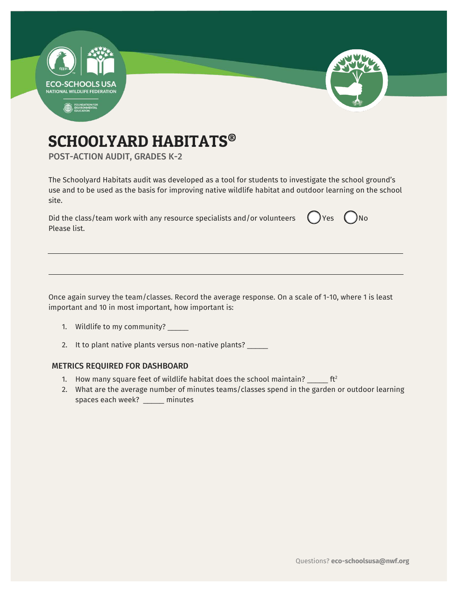

# SCHOOLYARD HABITATS®

POST-ACTION AUDIT, GRADES K-2

The Schoolyard Habitats audit was developed as a tool for students to investigate the school ground's use and to be used as the basis for improving native wildlife habitat and outdoor learning on the school site.

Did the class/team work with any resource specialists and/or volunteers  $\Box$  Yes  $\Box$  No Please list.

Once again survey the team/classes. Record the average response. On a scale of 1-10, where 1 is least important and 10 in most important, how important is:

- 1. Wildlife to my community? \_\_\_\_\_
- 2. It to plant native plants versus non-native plants? \_\_\_\_\_

#### METRICS REQUIRED FOR DASHBOARD

- 1. How many square feet of wildlife habitat does the school maintain?  $\frac{1}{2}$  ft<sup>2</sup>
- 2. What are the average number of minutes teams/classes spend in the garden or outdoor learning spaces each week? \_\_\_\_\_\_ minutes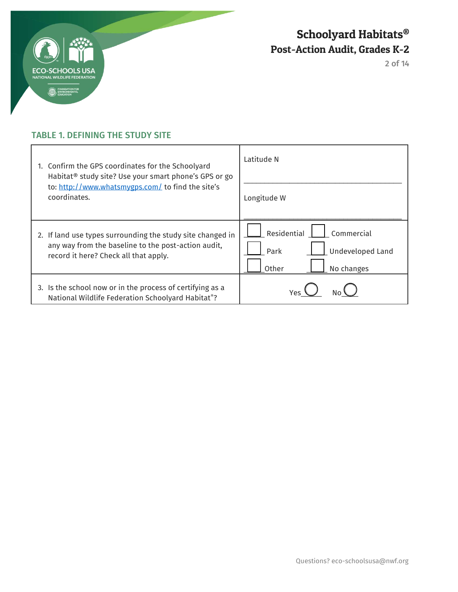

2 of 14

## TABLE 1. DEFINING THE STUDY SITE

| 1. Confirm the GPS coordinates for the Schoolyard<br>Habitat <sup>®</sup> study site? Use your smart phone's GPS or go<br>to: http://www.whatsmygps.com/ to find the site's<br>coordinates. | I atitude N                                                                  |
|---------------------------------------------------------------------------------------------------------------------------------------------------------------------------------------------|------------------------------------------------------------------------------|
|                                                                                                                                                                                             | Longitude W                                                                  |
| 2. If land use types surrounding the study site changed in<br>any way from the baseline to the post-action audit,<br>record it here? Check all that apply.                                  | Residential<br>Commercial<br>Undeveloped Land<br>Park<br>Other<br>No changes |
| 3. Is the school now or in the process of certifying as a<br>National Wildlife Federation Schoolyard Habitat <sup>®</sup> ?                                                                 | Yes.                                                                         |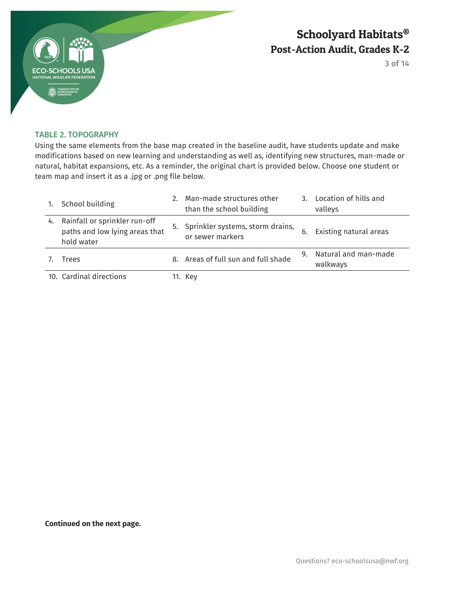

3 of 14

#### TABLE 2. TOPOGRAPHY

Using the same elements from the base map created in the baseline audit, have students update and make modifications based on new learning and understanding as well as, identifying new structures, man-made or natural, habitat expansions, etc. As a reminder, the original chart is provided below. Choose one student or team map and insert it as a .jpg or .png file below.

|    | School building                                                               | 2. | Man-made structures other<br>than the school building   | 3. | Location of hills and<br>valleys |
|----|-------------------------------------------------------------------------------|----|---------------------------------------------------------|----|----------------------------------|
| 4. | Rainfall or sprinkler run-off<br>paths and low lying areas that<br>hold water |    | 5. Sprinkler systems, storm drains,<br>or sewer markers |    | Existing natural areas           |
|    | Trees                                                                         | 8. | Areas of full sun and full shade                        | 9. | Natural and man-made<br>walkways |
|    | 10. Cardinal directions                                                       |    | 11. Key                                                 |    |                                  |

**Continued on the next page.**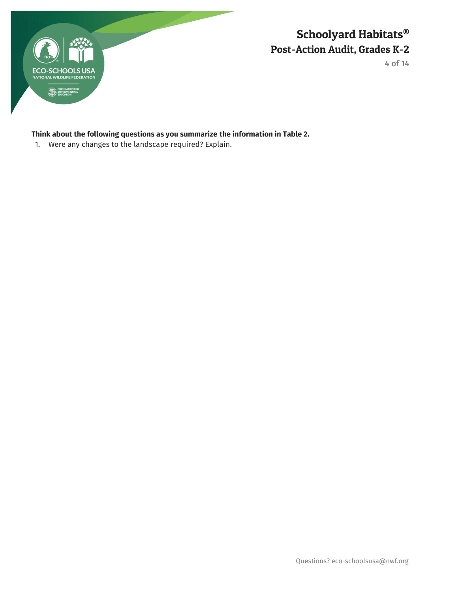

4 of 14

## **Think about the following questions as you summarize the information in Table 2.**

1. Were any changes to the landscape required? Explain.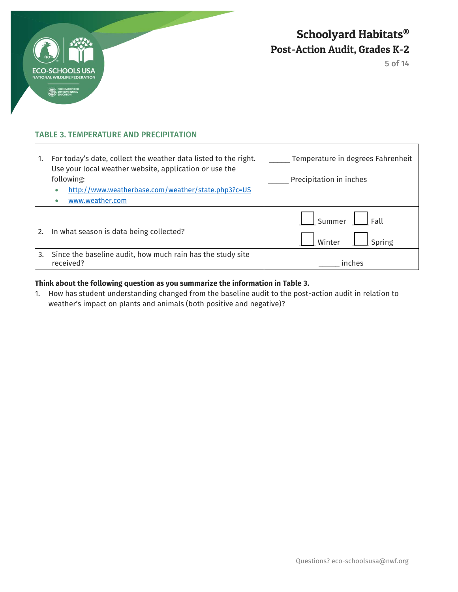

 $\overline{1}$ 

## Schoolyard Habitats® Post-Action Audit, Grades K-2

5 of 14

٦

#### TABLE 3. TEMPERATURE AND PRECIPITATION

| 1. | For today's date, collect the weather data listed to the right.<br>Use your local weather website, application or use the<br>following:<br>http://www.weatherbase.com/weather/state.php3?c=US<br>www.weather.com | Temperature in degrees Fahrenheit<br>Precipitation in inches |
|----|------------------------------------------------------------------------------------------------------------------------------------------------------------------------------------------------------------------|--------------------------------------------------------------|
| 2. | In what season is data being collected?                                                                                                                                                                          | Summer<br>Fall<br>Spring<br>Winter                           |
| 3. | Since the baseline audit, how much rain has the study site<br>received?                                                                                                                                          | inches                                                       |

 $\mathbf{I}$ 

#### **Think about the following question as you summarize the information in Table 3.**

1. How has student understanding changed from the baseline audit to the post-action audit in relation to weather's impact on plants and animals (both positive and negative)?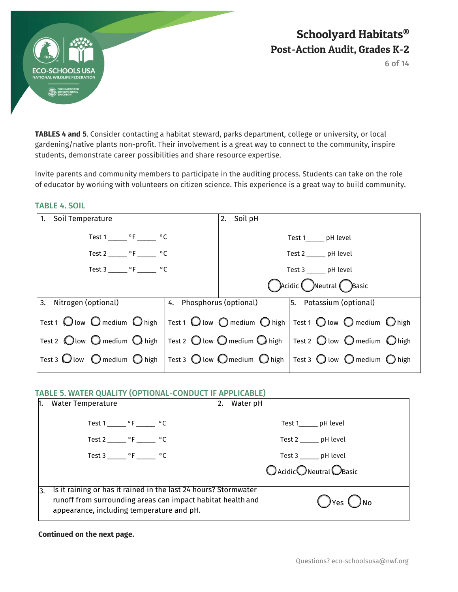

TABLE 4. SOIL

## Schoolyard Habitats® Post-Action Audit, Grades K-2

6 of 14

**TABLES 4 and 5**. Consider contacting a habitat steward, parks department, college or university, or local gardening/native plants non-profit. Their involvement is a great way to connect to the community, inspire students, demonstrate career possibilities and share resource expertise.

Invite parents and community members to participate in the auditing process. Students can take on the role of educator by working with volunteers on citizen science. This experience is a great way to build community.

| Soil Temperature<br>1.                                                                                                                                                      | Soil pH<br>2. |                        |
|-----------------------------------------------------------------------------------------------------------------------------------------------------------------------------|---------------|------------------------|
|                                                                                                                                                                             |               |                        |
| Test $1 \_ {\_ \_ \circ F \_ {\_ \_ \circ C}}$                                                                                                                              |               | Test 1______ pH level  |
|                                                                                                                                                                             |               |                        |
| Test 2 _______ °F _______ °C                                                                                                                                                |               | Test 2 ______ pH level |
|                                                                                                                                                                             |               |                        |
| Test 3 _______ $\circ$ F _______ $\circ$ C                                                                                                                                  |               | Test 3 ______ pH level |
|                                                                                                                                                                             |               |                        |
|                                                                                                                                                                             |               | Cacidic Neutral Basic  |
|                                                                                                                                                                             |               |                        |
| 3. Nitrogen (optional)                                                                                                                                                      |               |                        |
|                                                                                                                                                                             |               |                        |
| Test 1 $\bigcirc$ low $\bigcirc$ medium $\bigcirc$ high   Test 1 $\bigcirc$ low $\bigcirc$ medium $\bigcirc$ high   Test 1 $\bigcirc$ low $\bigcirc$ medium $\bigcirc$ high |               |                        |
|                                                                                                                                                                             |               |                        |
| Test 2 $\bigcirc$ low $\bigcirc$ medium $\bigcirc$ high   Test 2 $\bigcirc$ low $\bigcirc$ medium $\bigcirc$ high   Test 2 $\bigcirc$ low $\bigcirc$ medium $\bigcirc$ high |               |                        |
|                                                                                                                                                                             |               |                        |
| Test 3 $\bigcirc$ low $\bigcirc$ medium $\bigcirc$ high   Test 3 $\bigcirc$ low $\bigcirc$ medium $\bigcirc$ high   Test 3 $\bigcirc$ low $\bigcirc$ medium $\bigcirc$ high |               |                        |
|                                                                                                                                                                             |               |                        |
|                                                                                                                                                                             |               |                        |

#### TABLE 5. WATER QUALITY (OPTIONAL-CONDUCT IF APPLICABLE)

| <b>Water Temperature</b>                                                                                                                                                    | Water pH<br>2. |                                  |
|-----------------------------------------------------------------------------------------------------------------------------------------------------------------------------|----------------|----------------------------------|
| Test 1 _______ $\circ$ F _______ $\circ$ C                                                                                                                                  |                | Test 1_______ pH level           |
| Test 2 _______ $\circ$ F ______ $\circ$ C                                                                                                                                   |                | Test 2 _______ pH level          |
| Test 3 _______ $\circ$ F _______ $\circ$ C                                                                                                                                  |                | Test 3 _______ pH level          |
|                                                                                                                                                                             |                | $O$ Acidic $O$ Neutral $O$ Basic |
| Is it raining or has it rained in the last 24 hours? Stormwater<br>runoff from surrounding areas can impact habitat health and<br>appearance, including temperature and pH. |                | )No<br>$\bigcirc$ Yes $\bigcirc$ |

**Continued on the next page.** 

#### Questions? eco-schoolsusa@nwf.org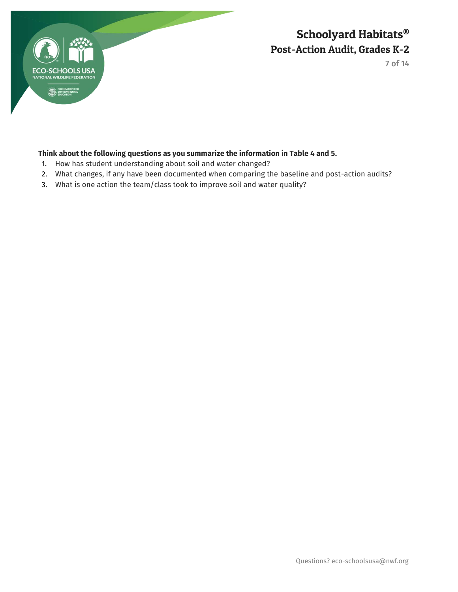

7 of 14

## **Think about the following questions as you summarize the information in Table 4 and 5.**

- 1. How has student understanding about soil and water changed?
- 2. What changes, if any have been documented when comparing the baseline and post-action audits?
- 3. What is one action the team/class took to improve soil and water quality?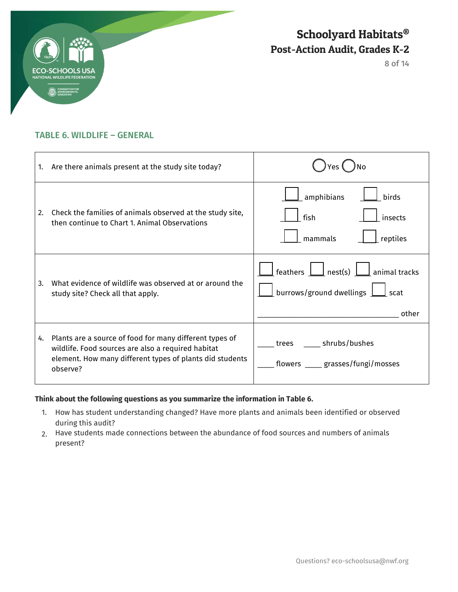

8 of 14

## TABLE 6. WILDLIFE – GENERAL

| 1. | Are there animals present at the study site today?                                                                                                                                    |                                                                                                                                                          |
|----|---------------------------------------------------------------------------------------------------------------------------------------------------------------------------------------|----------------------------------------------------------------------------------------------------------------------------------------------------------|
| 2. | Check the families of animals observed at the study site,<br>then continue to Chart 1. Animal Observations                                                                            | amphibians<br>birds<br>fish<br>insects<br>reptiles<br>mammals                                                                                            |
| 3. | What evidence of wildlife was observed at or around the<br>study site? Check all that apply.                                                                                          | feathers $\boxed{\phantom{a}}$ nest(s) $\boxed{\phantom{a}}$<br>$\vert$ animal tracks<br>burrows/ground dwellings<br>$\mathsf{\mathsf{I}}$ scat<br>other |
| 4. | Plants are a source of food for many different types of<br>wildlife. Food sources are also a required habitat<br>element. How many different types of plants did students<br>observe? | _____ shrubs/bushes<br>trees<br>flowers _____ grasses/fungi/mosses                                                                                       |

#### **Think about the following questions as you summarize the information in Table 6.**

- 1. How has student understanding changed? Have more plants and animals been identified or observed during this audit?
- 2. Have students made connections between the abundance of food sources and numbers of animals present?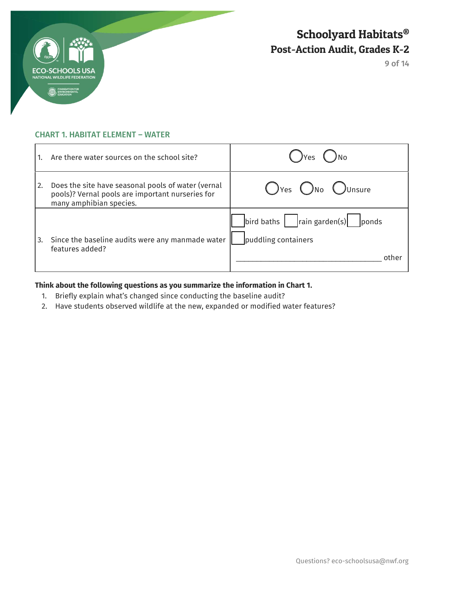

9 of 14

### CHART 1. HABITAT ELEMENT – WATER

|    | Are there water sources on the school site?                                                                                       | $(y)$ $Y$ es                                                                                        |
|----|-----------------------------------------------------------------------------------------------------------------------------------|-----------------------------------------------------------------------------------------------------|
| 2. | Does the site have seasonal pools of water (vernal<br>pools)? Vernal pools are important nurseries for<br>many amphibian species. | $\bigcap$ Yes $\bigcap$ No $\bigcap$ Unsure                                                         |
|    | Since the baseline audits were any manmade water<br>features added?                                                               | $\vert$ rain garden(s) $\vert$<br>$\frac{1}{2}$ bird baths<br>ponds<br>puddling containers<br>other |

### **Think about the following questions as you summarize the information in Chart 1.**

- 1. Briefly explain what's changed since conducting the baseline audit?
- 2. Have students observed wildlife at the new, expanded or modified water features?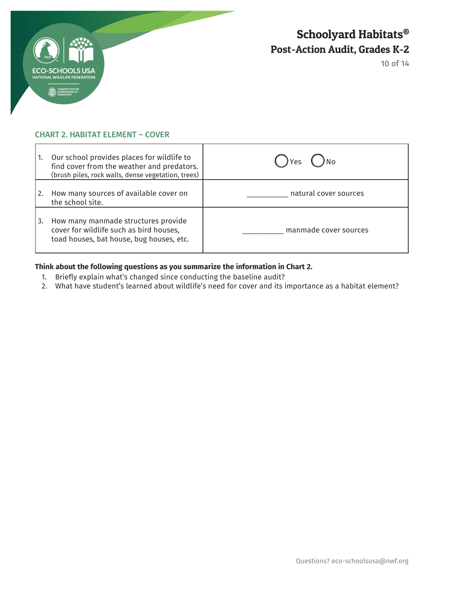

10 of 14

### CHART 2. HABITAT ELEMENT – COVER

| 1.  | Our school provides places for wildlife to<br>find cover from the weather and predators.<br>(brush piles, rock walls, dense vegetation, trees) | ) Yes                 |
|-----|------------------------------------------------------------------------------------------------------------------------------------------------|-----------------------|
| 12. | How many sources of available cover on<br>the school site.                                                                                     | natural cover sources |
| 3.  | How many manmade structures provide<br>cover for wildlife such as bird houses,<br>toad houses, bat house, bug houses, etc.                     | manmade cover sources |

#### **Think about the following questions as you summarize the information in Chart 2.**

- 1. Briefly explain what's changed since conducting the baseline audit?
- 2. What have student's learned about wildlife's need for cover and its importance as a habitat element?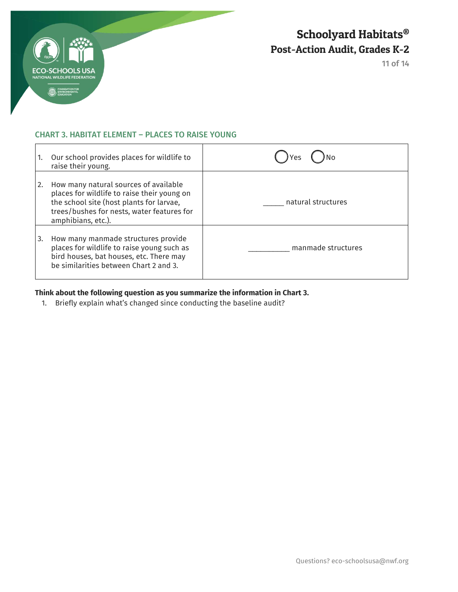

11 of 14

#### CHART 3. HABITAT ELEMENT – PLACES TO RAISE YOUNG

| 1.            | Our school provides places for wildlife to<br>raise their young.                                                                                                                                     | Yes                |
|---------------|------------------------------------------------------------------------------------------------------------------------------------------------------------------------------------------------------|--------------------|
| <sup>2.</sup> | How many natural sources of available<br>places for wildlife to raise their young on<br>the school site (host plants for larvae,<br>trees/bushes for nests, water features for<br>amphibians, etc.). | natural structures |
| 3.            | How many manmade structures provide<br>places for wildlife to raise young such as<br>bird houses, bat houses, etc. There may<br>be similarities between Chart 2 and 3.                               | manmade structures |

### **Think about the following question as you summarize the information in Chart 3.**

1. Briefly explain what's changed since conducting the baseline audit?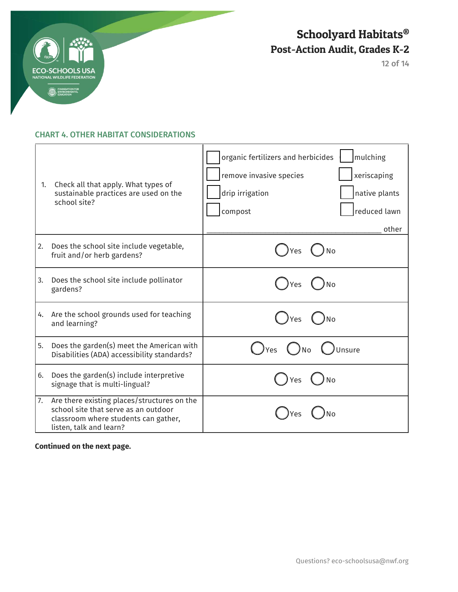

12 of 14

#### CHART 4. OTHER HABITAT CONSIDERATIONS

| 1. | Check all that apply. What types of<br>sustainable practices are used on the<br>school site?                                                           | organic fertilizers and herbicides<br>mulching<br>xeriscaping<br>remove invasive species<br>drip irrigation<br>native plants<br>compost<br>reduced lawn<br>other |
|----|--------------------------------------------------------------------------------------------------------------------------------------------------------|------------------------------------------------------------------------------------------------------------------------------------------------------------------|
| 2. | Does the school site include vegetable,<br>fruit and/or herb gardens?                                                                                  | <b>No</b><br>Yes                                                                                                                                                 |
| 3. | Does the school site include pollinator<br>gardens?                                                                                                    | Yes                                                                                                                                                              |
| 4. | Are the school grounds used for teaching<br>and learning?                                                                                              | Yes                                                                                                                                                              |
| 5. | Does the garden(s) meet the American with<br>Disabilities (ADA) accessibility standards?                                                               | Unsure<br>) <sub>Yes</sub><br>)No                                                                                                                                |
| 6. | Does the garden(s) include interpretive<br>signage that is multi-lingual?                                                                              | Yes<br><b>No</b>                                                                                                                                                 |
| 7. | Are there existing places/structures on the<br>school site that serve as an outdoor<br>classroom where students can gather,<br>listen, talk and learn? | Yes                                                                                                                                                              |

### **Continued on the next page.**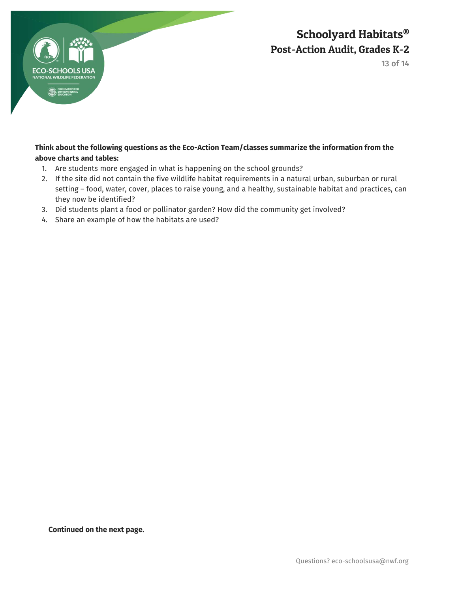

13 of 14

### **Think about the following questions as the Eco-Action Team/classes summarize the information from the above charts and tables:**

- 1. Are students more engaged in what is happening on the school grounds?
- 2. If the site did not contain the five wildlife habitat requirements in a natural urban, suburban or rural setting – food, water, cover, places to raise young, and a healthy, sustainable habitat and practices, can they now be identified?
- 3. Did students plant a food or pollinator garden? How did the community get involved?
- 4. Share an example of how the habitats are used?

**Continued on the next page.**